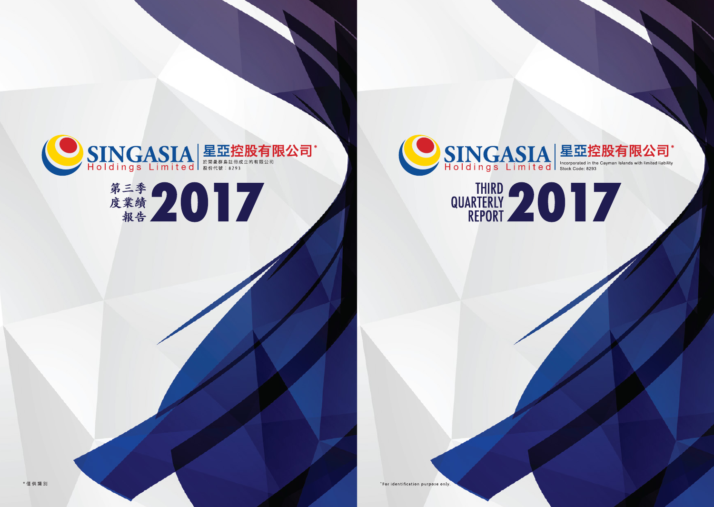

\*For identification purpose only.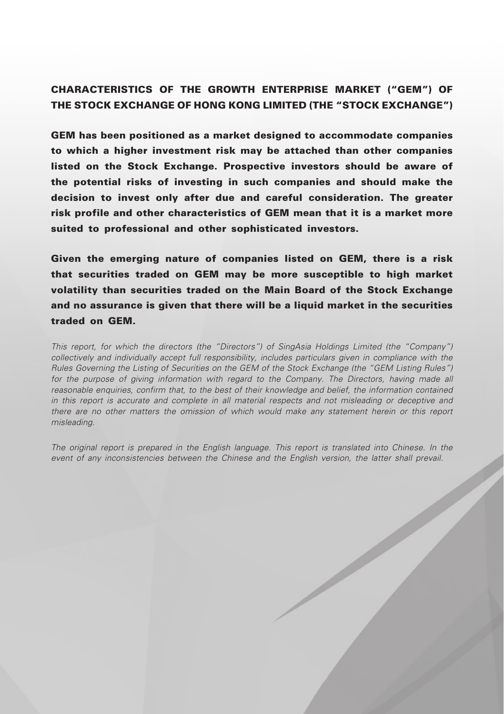# CHARACTERISTICS OF THE GROWTH ENTERPRISE MARKET ("GEM") OF THE STOCK EXCHANGE OF HONG KONG LIMITED (THE "STOCK EXCHANGE")

GEM has been positioned as a market designed to accommodate companies to which a higher investment risk may be attached than other companies listed on the Stock Exchange. Prospective investors should be aware of the potential risks of investing in such companies and should make the decision to invest only after due and careful consideration. The greater risk profile and other characteristics of GEM mean that it is a market more suited to professional and other sophisticated investors.

Given the emerging nature of companies listed on GEM, there is a risk that securities traded on GEM may be more susceptible to high market volatility than securities traded on the Main Board of the Stock Exchange and no assurance is given that there will be a liquid market in the securities traded on GEM.

*This report, for which the directors (the "Directors") of SingAsia Holdings Limited (the "Company") collectively and individually accept full responsibility, includes particulars given in compliance with the Rules Governing the Listing of Securities on the GEM of the Stock Exchange (the "GEM Listing Rules")*  for the purpose of giving information with regard to the Company. The Directors, having made all *reasonable enquiries, confirm that, to the best of their knowledge and belief, the information contained in this report is accurate and complete in all material respects and not misleading or deceptive and there are no other matters the omission of which would make any statement herein or this report misleading.*

*The original report is prepared in the English language. This report is translated into Chinese. In the event of any inconsistencies between the Chinese and the English version, the latter shall prevail.*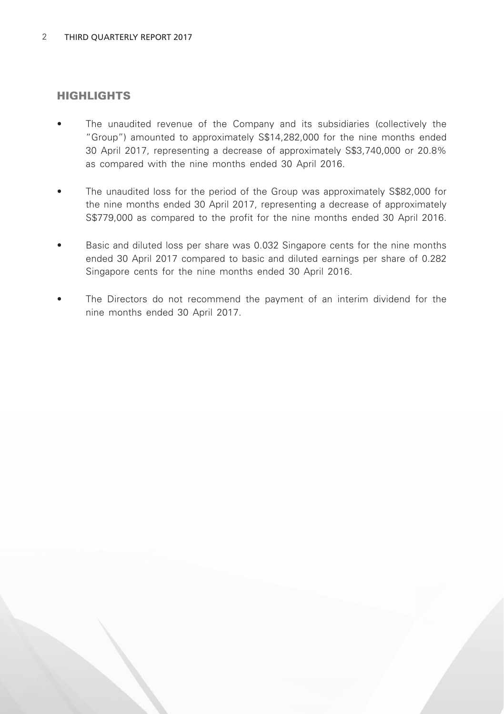### HIGHLIGHTS

- The unaudited revenue of the Company and its subsidiaries (collectively the "Group") amounted to approximately S\$14,282,000 for the nine months ended 30 April 2017, representing a decrease of approximately S\$3,740,000 or 20.8% as compared with the nine months ended 30 April 2016.
- The unaudited loss for the period of the Group was approximately S\$82,000 for the nine months ended 30 April 2017, representing a decrease of approximately S\$779,000 as compared to the profit for the nine months ended 30 April 2016.
- Basic and diluted loss per share was 0.032 Singapore cents for the nine months ended 30 April 2017 compared to basic and diluted earnings per share of 0.282 Singapore cents for the nine months ended 30 April 2016.
- The Directors do not recommend the payment of an interim dividend for the nine months ended 30 April 2017.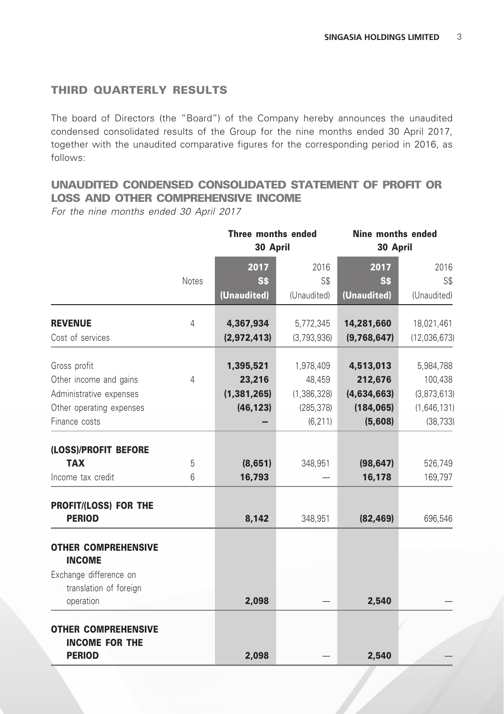## THIRD QUARTERLY RESULTS

The board of Directors (the "Board") of the Company hereby announces the unaudited condensed consolidated results of the Group for the nine months ended 30 April 2017, together with the unaudited comparative figures for the corresponding period in 2016, as follows:

# UNAUDITED CONDENSED CONSOLIDATED STATEMENT OF PROFIT OR LOSS AND OTHER COMPREHENSIVE INCOME

*For the nine months ended 30 April 2017*

|                                                     |                | Three months ended<br>30 April |             | Nine months ended<br>30 April |              |
|-----------------------------------------------------|----------------|--------------------------------|-------------|-------------------------------|--------------|
|                                                     |                | 2017                           | 2016        | 2017                          | 2016         |
|                                                     | <b>Notes</b>   | S\$                            | S\$         | <b>SS</b>                     | S\$          |
|                                                     |                | (Unaudited)                    | (Unaudited) | (Unaudited)                   | (Unaudited)  |
| <b>REVENUE</b>                                      | $\overline{4}$ | 4,367,934                      | 5,772,345   | 14,281,660                    | 18,021,461   |
| Cost of services                                    |                | (2,972,413)                    | (3,793,936) | (9,768,647)                   | (12,036,673) |
| Gross profit                                        |                | 1,395,521                      | 1,978,409   | 4,513,013                     | 5,984,788    |
| Other income and gains                              | 4              | 23,216                         | 48,459      | 212,676                       | 100,438      |
| Administrative expenses                             |                | (1, 381, 265)                  | (1,386,328) | (4,634,663)                   | (3,873,613)  |
| Other operating expenses                            |                | (46, 123)                      | (285, 378)  | (184, 065)                    | (1,646,131)  |
| Finance costs                                       |                |                                | (6, 211)    | (5,608)                       | (38, 733)    |
| (LOSS)/PROFIT BEFORE                                |                |                                |             |                               |              |
| <b>TAX</b>                                          | 5              | (8,651)                        | 348,951     | (98, 647)                     | 526,749      |
| Income tax credit                                   | 6              | 16,793                         |             | 16,178                        | 169,797      |
| PROFIT/(LOSS) FOR THE                               |                |                                |             |                               |              |
| <b>PERIOD</b>                                       |                | 8,142                          | 348,951     | (82, 469)                     | 696,546      |
| <b>OTHER COMPREHENSIVE</b>                          |                |                                |             |                               |              |
| <b>INCOME</b>                                       |                |                                |             |                               |              |
| Exchange difference on                              |                |                                |             |                               |              |
| translation of foreign<br>operation                 |                | 2,098                          |             | 2,540                         |              |
| <b>OTHER COMPREHENSIVE</b><br><b>INCOME FOR THE</b> |                |                                |             |                               |              |
| <b>PERIOD</b>                                       |                | 2,098                          |             | 2,540                         |              |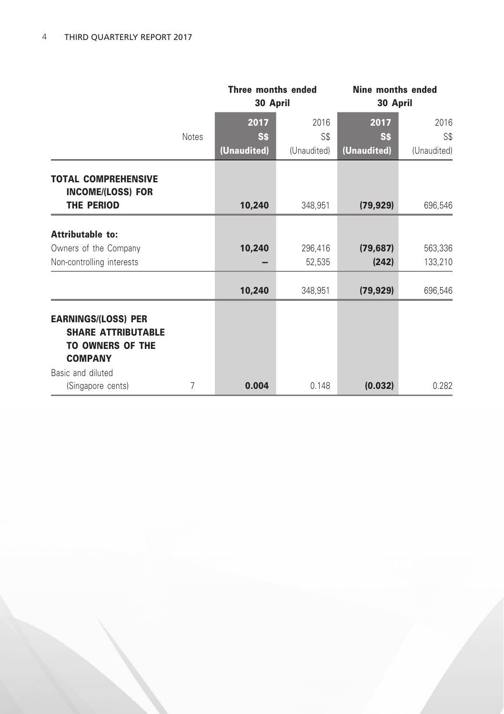|                                                                                                      |              | Three months ended<br>30 April |             | Nine months ended<br>30 April |             |
|------------------------------------------------------------------------------------------------------|--------------|--------------------------------|-------------|-------------------------------|-------------|
|                                                                                                      |              | 2017                           | 2016        | 2017                          | 2016        |
|                                                                                                      | <b>Notes</b> | <b>SS</b>                      | S\$         | <b>SS</b>                     | S\$         |
|                                                                                                      |              | (Unaudited)                    | (Unaudited) | (Unaudited)                   | (Unaudited) |
| <b>TOTAL COMPREHENSIVE</b><br><b>INCOME/(LOSS) FOR</b>                                               |              |                                |             |                               |             |
| THE PERIOD                                                                                           |              | 10,240                         | 348,951     | (79, 929)                     | 696,546     |
| Attributable to:                                                                                     |              |                                |             |                               |             |
| Owners of the Company                                                                                |              | 10,240                         | 296,416     | (79, 687)                     | 563,336     |
| Non-controlling interests                                                                            |              |                                | 52,535      | (242)                         | 133,210     |
|                                                                                                      |              | 10,240                         | 348,951     | (79, 929)                     | 696,546     |
| <b>EARNINGS/(LOSS) PER</b><br><b>SHARE ATTRIBUTABLE</b><br><b>TO OWNERS OF THE</b><br><b>COMPANY</b> |              |                                |             |                               |             |
| Basic and diluted                                                                                    |              |                                |             |                               |             |
| (Singapore cents)                                                                                    | 7            | 0.004                          | 0.148       | (0.032)                       | 0.282       |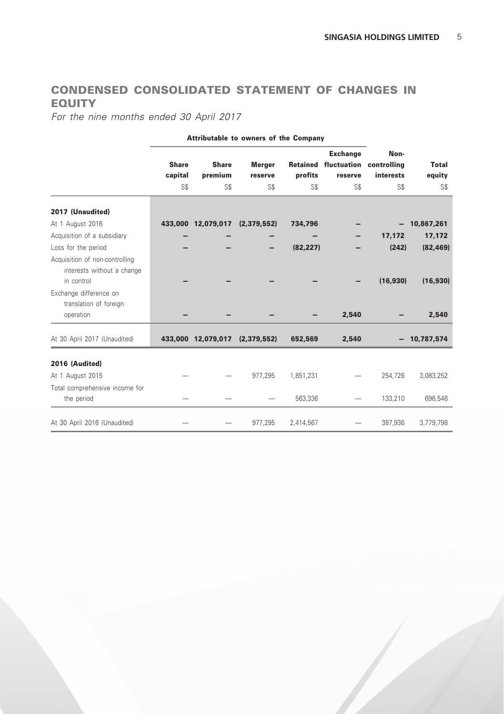# CONDENSED CONSOLIDATED STATEMENT OF CHANGES IN EQUITY

*For the nine months ended 30 April 2017*

|                                                                            | Attributable to owners of the Company |                                |                          |           |                                                                |                   |                        |
|----------------------------------------------------------------------------|---------------------------------------|--------------------------------|--------------------------|-----------|----------------------------------------------------------------|-------------------|------------------------|
|                                                                            | <b>Share</b><br>capital               | <b>Share</b><br>premium        | <b>Merger</b><br>reserve | profits   | <b>Exchange</b><br>Retained fluctuation controlling<br>reserve | Non-<br>interests | <b>Total</b><br>equity |
|                                                                            | S\$                                   | S\$                            | SS                       | S\$       | S\$                                                            | S\$               | S\$                    |
| 2017 (Unaudited)                                                           |                                       |                                |                          |           |                                                                |                   |                        |
| At 1 August 2016                                                           |                                       | 433,000 12,079,017             | (2, 379, 552)            | 734,796   |                                                                | -                 | 10,867,261             |
| Acquisition of a subsidiary                                                |                                       |                                |                          |           |                                                                | 17,172            | 17,172                 |
| Loss for the period                                                        |                                       |                                |                          | (82, 227) |                                                                | (242)             | (82, 469)              |
| Acquisition of non-controlling<br>interests without a change<br>in control |                                       |                                |                          |           |                                                                | (16.930)          | (16,930)               |
| Exchange difference on                                                     |                                       |                                |                          |           |                                                                |                   |                        |
| translation of foreign                                                     |                                       |                                |                          |           |                                                                |                   |                        |
| operation                                                                  |                                       |                                |                          |           | 2.540                                                          |                   | 2.540                  |
| At 30 April 2017 (Unaudited)                                               |                                       | 433,000 12,079,017 (2,379,552) |                          | 652,569   | 2,540                                                          |                   | 10,787,574             |
| 2016 (Audited)                                                             |                                       |                                |                          |           |                                                                |                   |                        |
| At 1 August 2015                                                           |                                       |                                | 977,295                  | 1,851,231 |                                                                | 254,726           | 3,083,252              |
| Total comprehensive income for                                             |                                       |                                |                          |           |                                                                |                   |                        |
| the period                                                                 |                                       |                                |                          | 563,336   |                                                                | 133,210           | 696,546                |
| At 30 April 2016 (Unaudited)                                               |                                       |                                | 977,295                  | 2.414.567 |                                                                | 387.936           | 3,779,798              |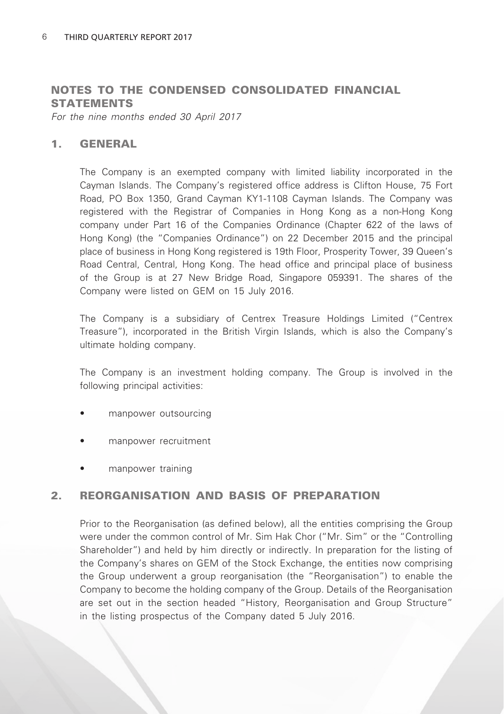## NOTES TO THE CONDENSED CONSOLIDATED FINANCIAL **STATEMENTS**

*For the nine months ended 30 April 2017*

#### 1. GENERAL

The Company is an exempted company with limited liability incorporated in the Cayman Islands. The Company's registered office address is Clifton House, 75 Fort Road, PO Box 1350, Grand Cayman KY1-1108 Cayman Islands. The Company was registered with the Registrar of Companies in Hong Kong as a non-Hong Kong company under Part 16 of the Companies Ordinance (Chapter 622 of the laws of Hong Kong) (the "Companies Ordinance") on 22 December 2015 and the principal place of business in Hong Kong registered is 19th Floor, Prosperity Tower, 39 Queen's Road Central, Central, Hong Kong. The head office and principal place of business of the Group is at 27 New Bridge Road, Singapore 059391. The shares of the Company were listed on GEM on 15 July 2016.

The Company is a subsidiary of Centrex Treasure Holdings Limited ("Centrex Treasure"), incorporated in the British Virgin Islands, which is also the Company's ultimate holding company.

The Company is an investment holding company. The Group is involved in the following principal activities:

- manpower outsourcing
- manpower recruitment
- manpower training

### 2. REORGANISATION AND BASIS OF PREPARATION

Prior to the Reorganisation (as defined below), all the entities comprising the Group were under the common control of Mr. Sim Hak Chor ("Mr. Sim" or the "Controlling Shareholder") and held by him directly or indirectly. In preparation for the listing of the Company's shares on GEM of the Stock Exchange, the entities now comprising the Group underwent a group reorganisation (the "Reorganisation") to enable the Company to become the holding company of the Group. Details of the Reorganisation are set out in the section headed "History, Reorganisation and Group Structure" in the listing prospectus of the Company dated 5 July 2016.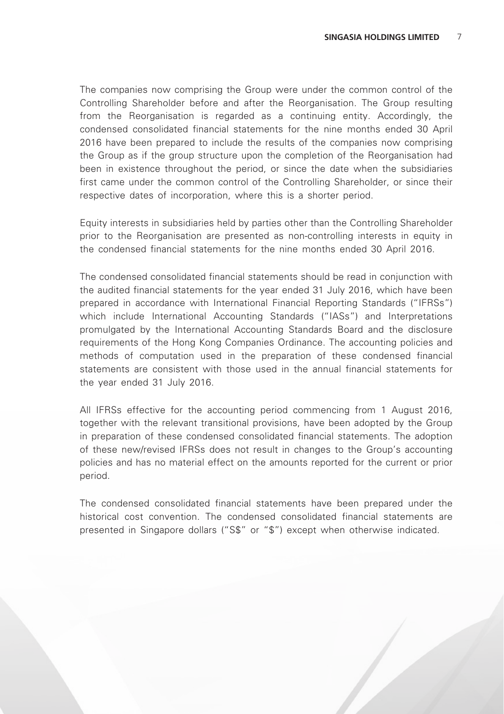The companies now comprising the Group were under the common control of the Controlling Shareholder before and after the Reorganisation. The Group resulting from the Reorganisation is regarded as a continuing entity. Accordingly, the condensed consolidated financial statements for the nine months ended 30 April 2016 have been prepared to include the results of the companies now comprising the Group as if the group structure upon the completion of the Reorganisation had been in existence throughout the period, or since the date when the subsidiaries first came under the common control of the Controlling Shareholder, or since their respective dates of incorporation, where this is a shorter period.

Equity interests in subsidiaries held by parties other than the Controlling Shareholder prior to the Reorganisation are presented as non-controlling interests in equity in the condensed financial statements for the nine months ended 30 April 2016.

The condensed consolidated financial statements should be read in conjunction with the audited financial statements for the year ended 31 July 2016, which have been prepared in accordance with International Financial Reporting Standards ("IFRSs") which include International Accounting Standards ("IASs") and Interpretations promulgated by the International Accounting Standards Board and the disclosure requirements of the Hong Kong Companies Ordinance. The accounting policies and methods of computation used in the preparation of these condensed financial statements are consistent with those used in the annual financial statements for the year ended 31 July 2016.

All IFRSs effective for the accounting period commencing from 1 August 2016, together with the relevant transitional provisions, have been adopted by the Group in preparation of these condensed consolidated financial statements. The adoption of these new/revised IFRSs does not result in changes to the Group's accounting policies and has no material effect on the amounts reported for the current or prior period.

The condensed consolidated financial statements have been prepared under the historical cost convention. The condensed consolidated financial statements are presented in Singapore dollars ("S\$" or "\$") except when otherwise indicated.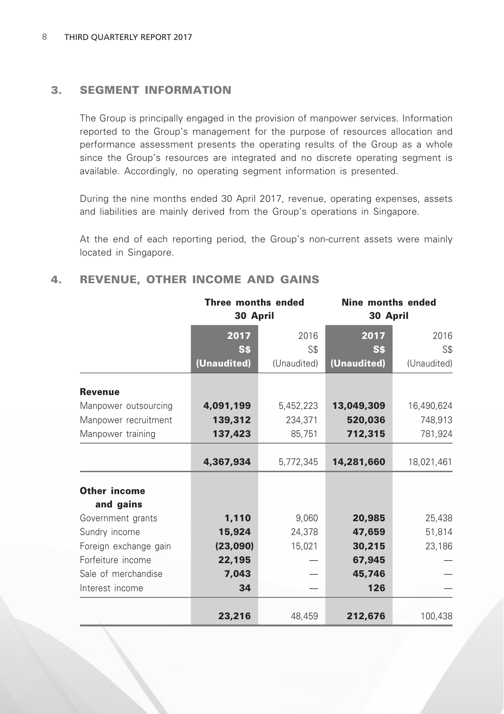## 3. SEGMENT INFORMATION

The Group is principally engaged in the provision of manpower services. Information reported to the Group's management for the purpose of resources allocation and performance assessment presents the operating results of the Group as a whole since the Group's resources are integrated and no discrete operating segment is available. Accordingly, no operating segment information is presented.

During the nine months ended 30 April 2017, revenue, operating expenses, assets and liabilities are mainly derived from the Group's operations in Singapore.

At the end of each reporting period, the Group's non-current assets were mainly located in Singapore.

## 4. REVENUE, OTHER INCOME AND GAINS

|                       | Three months ended<br>30 April |             | Nine months ended<br>30 April |             |  |
|-----------------------|--------------------------------|-------------|-------------------------------|-------------|--|
|                       | 2017                           | 2016        | 2017                          | 2016        |  |
|                       | Ss                             | S\$         | <b>SS</b>                     | S\$         |  |
|                       | (Unaudited)                    | (Unaudited) | (Unaudited)                   | (Unaudited) |  |
| <b>Revenue</b>        |                                |             |                               |             |  |
| Manpower outsourcing  | 4,091,199                      | 5,452,223   | 13,049,309                    | 16,490,624  |  |
| Manpower recruitment  | 139,312                        | 234,371     | 520,036                       | 748,913     |  |
| Manpower training     | 137,423                        | 85,751      | 712,315                       | 781,924     |  |
|                       | 4,367,934                      | 5,772,345   | 14,281,660                    | 18,021,461  |  |
| Other income          |                                |             |                               |             |  |
| and gains             |                                |             |                               |             |  |
| Government grants     | 1,110                          | 9,060       | 20,985                        | 25,438      |  |
| Sundry income         | 15,924                         | 24,378      | 47,659                        | 51,814      |  |
| Foreign exchange gain | (23,090)                       | 15,021      | 30,215                        | 23,186      |  |
| Forfeiture income     | 22,195                         |             | 67,945                        |             |  |
| Sale of merchandise   | 7,043                          |             | 45,746                        |             |  |
| Interest income       | 34                             |             | 126                           |             |  |
|                       | 23,216                         | 48,459      | 212,676                       | 100,438     |  |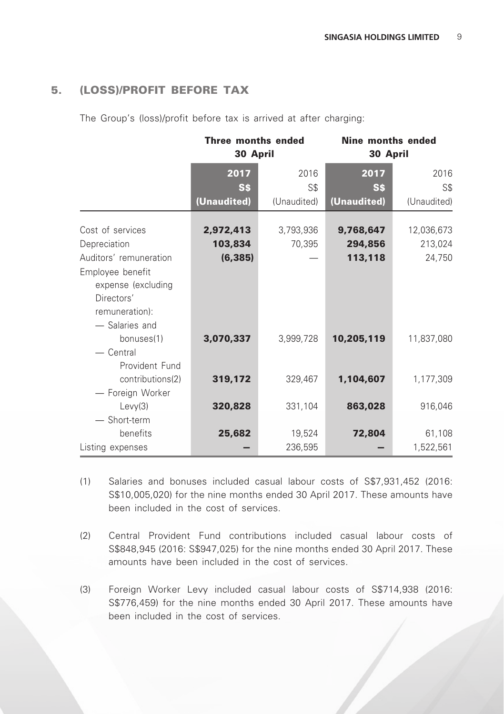## 5. (LOSS)/PROFIT BEFORE TAX

The Group's (loss)/profit before tax is arrived at after charging:

|                        | Three months ended<br>30 April |             | <b>Nine months ended</b><br>30 April |             |  |
|------------------------|--------------------------------|-------------|--------------------------------------|-------------|--|
|                        | 2017                           | 2016        | 2017                                 | 2016        |  |
|                        | <b>SS</b>                      | S\$         | S\$                                  | S\$         |  |
|                        | (Unaudited)                    | (Unaudited) | (Unaudited)                          | (Unaudited) |  |
| Cost of services       | 2,972,413                      | 3,793,936   | 9,768,647                            | 12,036,673  |  |
| Depreciation           | 103,834                        | 70,395      | 294,856                              | 213,024     |  |
| Auditors' remuneration | (6, 385)                       |             | 113,118                              | 24,750      |  |
| Employee benefit       |                                |             |                                      |             |  |
| expense (excluding     |                                |             |                                      |             |  |
| Directors'             |                                |             |                                      |             |  |
| remuneration):         |                                |             |                                      |             |  |
| - Salaries and         |                                |             |                                      |             |  |
| bonuses(1)             | 3,070,337                      | 3,999,728   | 10,205,119                           | 11,837,080  |  |
| $-$ Central            |                                |             |                                      |             |  |
| Provident Fund         |                                |             |                                      |             |  |
| contributions(2)       | 319,172                        | 329,467     | 1,104,607                            | 1,177,309   |  |
| - Foreign Worker       |                                |             |                                      |             |  |
| Levy(3)                | 320,828                        | 331,104     | 863,028                              | 916,046     |  |
| - Short-term           |                                |             |                                      |             |  |
| benefits               | 25,682                         | 19,524      | 72,804                               | 61,108      |  |
| Listing expenses       |                                | 236,595     |                                      | 1,522,561   |  |

- (1) Salaries and bonuses included casual labour costs of S\$7,931,452 (2016: S\$10,005,020) for the nine months ended 30 April 2017. These amounts have been included in the cost of services.
- (2) Central Provident Fund contributions included casual labour costs of S\$848,945 (2016: S\$947,025) for the nine months ended 30 April 2017. These amounts have been included in the cost of services.
- (3) Foreign Worker Levy included casual labour costs of S\$714,938 (2016: S\$776,459) for the nine months ended 30 April 2017. These amounts have been included in the cost of services.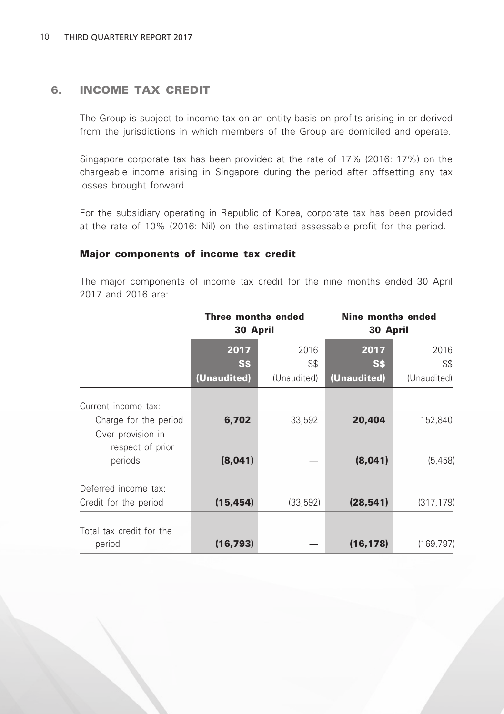## 6. INCOME TAX CREDIT

The Group is subject to income tax on an entity basis on profits arising in or derived from the jurisdictions in which members of the Group are domiciled and operate.

Singapore corporate tax has been provided at the rate of 17% (2016: 17%) on the chargeable income arising in Singapore during the period after offsetting any tax losses brought forward.

For the subsidiary operating in Republic of Korea, corporate tax has been provided at the rate of 10% (2016: Nil) on the estimated assessable profit for the period.

#### Major components of income tax credit

The major components of income tax credit for the nine months ended 30 April 2017 and 2016 are:

|                                                                                                  | Three months ended<br>30 April |             | Nine months ended<br>30 April |                     |  |
|--------------------------------------------------------------------------------------------------|--------------------------------|-------------|-------------------------------|---------------------|--|
|                                                                                                  | 2017<br>S\$                    | 2016<br>S\$ | 2017<br>S\$                   | 2016<br>S\$         |  |
|                                                                                                  | (Unaudited)                    | (Unaudited) | (Unaudited)                   | (Unaudited)         |  |
| Current income tax:<br>Charge for the period<br>Over provision in<br>respect of prior<br>periods | 6,702<br>(8,041)               | 33,592      | 20,404<br>(8,041)             | 152,840<br>(5, 458) |  |
| Deferred income tax:<br>Credit for the period                                                    | (15, 454)                      | (33, 592)   | (28, 541)                     | (317, 179)          |  |
| Total tax credit for the<br>period                                                               | (16, 793)                      |             | (16, 178)                     | (169, 797)          |  |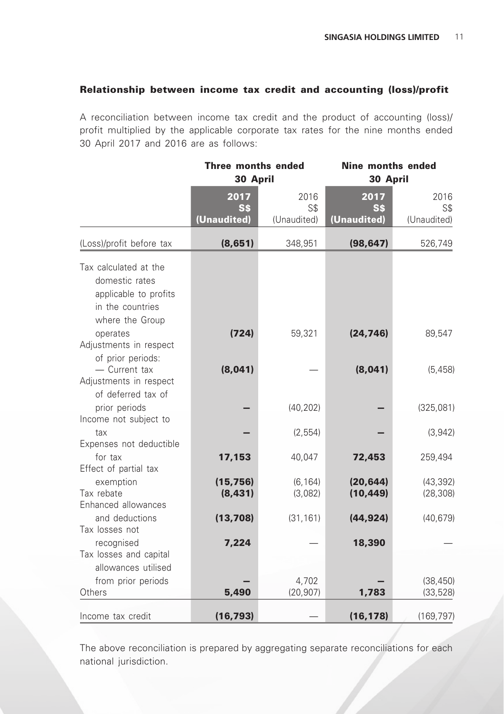### Relationship between income tax credit and accounting (loss)/profit

A reconciliation between income tax credit and the product of accounting (loss)/ profit multiplied by the applicable corporate tax rates for the nine months ended 30 April 2017 and 2016 are as follows:

|                                                                                                         | Three months ended<br>30 April |                     | <b>Nine months ended</b><br>30 April |                        |  |
|---------------------------------------------------------------------------------------------------------|--------------------------------|---------------------|--------------------------------------|------------------------|--|
|                                                                                                         | 2017<br><b>S\$</b>             | 2016<br>S\$         | 2017<br>S\$                          | 2016<br>S <sub>s</sub> |  |
|                                                                                                         | (Unaudited)                    | (Unaudited)         | (Unaudited)                          | (Unaudited)            |  |
| (Loss)/profit before tax                                                                                | (8,651)                        | 348,951             | (98, 647)                            | 526,749                |  |
| Tax calculated at the<br>domestic rates<br>applicable to profits<br>in the countries<br>where the Group |                                |                     |                                      |                        |  |
| operates<br>Adjustments in respect<br>of prior periods:                                                 | (724)                          | 59,321              | (24, 746)                            | 89,547                 |  |
| - Current tax<br>Adjustments in respect<br>of deferred tax of                                           | (8,041)                        |                     | (8,041)                              | (5, 458)               |  |
| prior periods<br>Income not subject to                                                                  |                                | (40, 202)           |                                      | (325,081)              |  |
| tax<br>Expenses not deductible                                                                          |                                | (2, 554)            |                                      | (3,942)                |  |
| for tax<br>Effect of partial tax                                                                        | 17,153                         | 40,047              | 72,453                               | 259,494                |  |
| exemption<br>Tax rebate<br>Enhanced allowances                                                          | (15, 756)<br>(8, 431)          | (6, 164)<br>(3,082) | (20, 644)<br>(10, 449)               | (43, 392)<br>(28, 308) |  |
| and deductions<br>Tax losses not                                                                        | (13,708)                       | (31, 161)           | (44, 924)                            | (40, 679)              |  |
| recognised<br>Tax losses and capital<br>allowances utilised                                             | 7,224                          |                     | 18,390                               |                        |  |
| from prior periods<br>Others                                                                            | 5,490                          | 4,702<br>(20, 907)  | 1,783                                | (38, 450)<br>(33, 528) |  |
| Income tax credit                                                                                       | (16, 793)                      |                     | (16, 178)                            | (169, 797)             |  |

The above reconciliation is prepared by aggregating separate reconciliations for each national jurisdiction.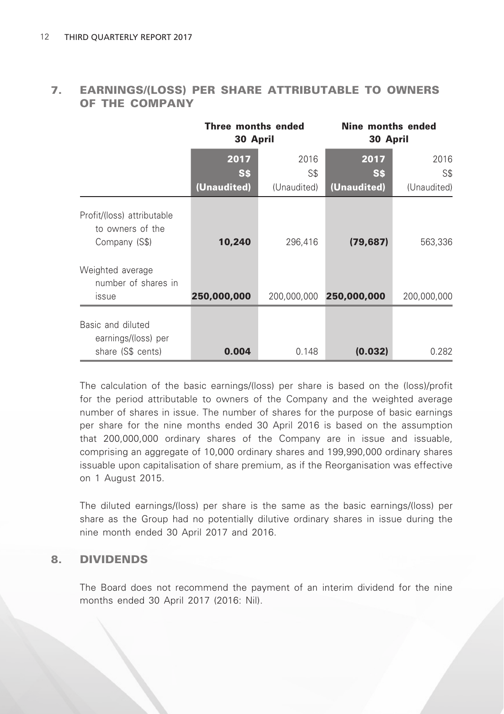### 7. EARNINGS/(LOSS) PER SHARE ATTRIBUTABLE TO OWNERS OF THE COMPANY

|                                                                                                            | Three months ended<br>30 April |             | Nine months ended<br>30 April |             |  |
|------------------------------------------------------------------------------------------------------------|--------------------------------|-------------|-------------------------------|-------------|--|
|                                                                                                            | 2017                           | 2016        | 2017                          | 2016        |  |
|                                                                                                            | <b>SS</b>                      | S\$         | <b>SS</b>                     | S\$         |  |
|                                                                                                            | (Unaudited)                    | (Unaudited) | (Unaudited)                   | (Unaudited) |  |
| Profit/(loss) attributable<br>to owners of the<br>Company (S\$)<br>Weighted average<br>number of shares in | 10,240                         | 296,416     | (79, 687)                     | 563,336     |  |
| <i>issue</i>                                                                                               | 250,000,000                    | 200,000,000 | 250,000,000                   | 200,000,000 |  |
| Basic and diluted<br>earnings/(loss) per<br>share (S\$ cents)                                              | 0.004                          | 0.148       | (0.032)                       | 0.282       |  |

The calculation of the basic earnings/(loss) per share is based on the (loss)/profit for the period attributable to owners of the Company and the weighted average number of shares in issue. The number of shares for the purpose of basic earnings per share for the nine months ended 30 April 2016 is based on the assumption that 200,000,000 ordinary shares of the Company are in issue and issuable, comprising an aggregate of 10,000 ordinary shares and 199,990,000 ordinary shares issuable upon capitalisation of share premium, as if the Reorganisation was effective on 1 August 2015.

The diluted earnings/(loss) per share is the same as the basic earnings/(loss) per share as the Group had no potentially dilutive ordinary shares in issue during the nine month ended 30 April 2017 and 2016.

### 8. DIVIDENDS

The Board does not recommend the payment of an interim dividend for the nine months ended 30 April 2017 (2016: Nil).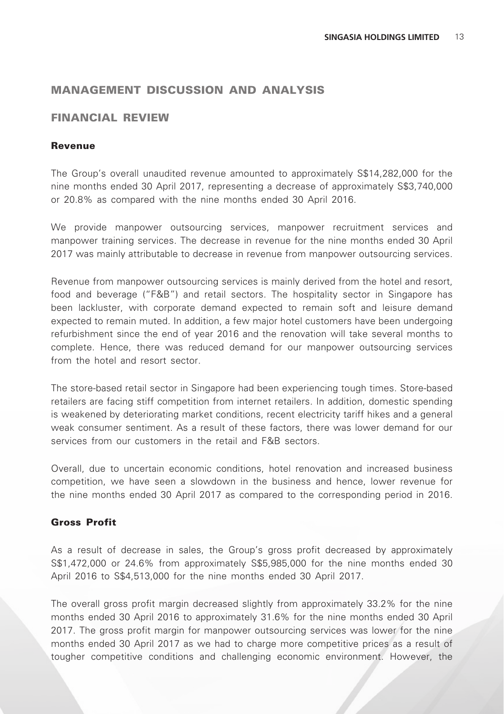### MANAGEMENT DISCUSSION AND ANALYSIS

### FINANCIAL REVIEW

#### Revenue

The Group's overall unaudited revenue amounted to approximately S\$14,282,000 for the nine months ended 30 April 2017, representing a decrease of approximately S\$3,740,000 or 20.8% as compared with the nine months ended 30 April 2016.

We provide manpower outsourcing services, manpower recruitment services and manpower training services. The decrease in revenue for the nine months ended 30 April 2017 was mainly attributable to decrease in revenue from manpower outsourcing services.

Revenue from manpower outsourcing services is mainly derived from the hotel and resort, food and beverage ("F&B") and retail sectors. The hospitality sector in Singapore has been lackluster, with corporate demand expected to remain soft and leisure demand expected to remain muted. In addition, a few major hotel customers have been undergoing refurbishment since the end of year 2016 and the renovation will take several months to complete. Hence, there was reduced demand for our manpower outsourcing services from the hotel and resort sector.

The store-based retail sector in Singapore had been experiencing tough times. Store-based retailers are facing stiff competition from internet retailers. In addition, domestic spending is weakened by deteriorating market conditions, recent electricity tariff hikes and a general weak consumer sentiment. As a result of these factors, there was lower demand for our services from our customers in the retail and F&B sectors.

Overall, due to uncertain economic conditions, hotel renovation and increased business competition, we have seen a slowdown in the business and hence, lower revenue for the nine months ended 30 April 2017 as compared to the corresponding period in 2016.

#### Gross Profit

As a result of decrease in sales, the Group's gross profit decreased by approximately S\$1,472,000 or 24.6% from approximately S\$5,985,000 for the nine months ended 30 April 2016 to S\$4,513,000 for the nine months ended 30 April 2017.

The overall gross profit margin decreased slightly from approximately 33.2% for the nine months ended 30 April 2016 to approximately 31.6% for the nine months ended 30 April 2017. The gross profit margin for manpower outsourcing services was lower for the nine months ended 30 April 2017 as we had to charge more competitive prices as a result of tougher competitive conditions and challenging economic environment. However, the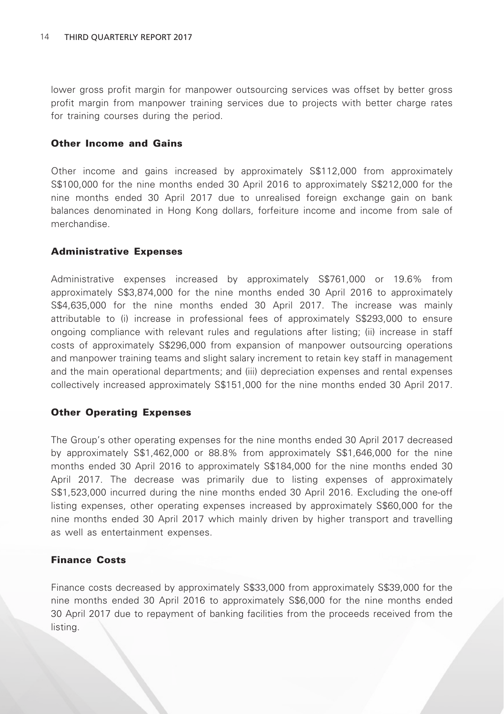lower gross profit margin for manpower outsourcing services was offset by better gross profit margin from manpower training services due to projects with better charge rates for training courses during the period.

#### Other Income and Gains

Other income and gains increased by approximately S\$112,000 from approximately S\$100,000 for the nine months ended 30 April 2016 to approximately S\$212,000 for the nine months ended 30 April 2017 due to unrealised foreign exchange gain on bank balances denominated in Hong Kong dollars, forfeiture income and income from sale of merchandise.

#### Administrative Expenses

Administrative expenses increased by approximately S\$761,000 or 19.6% from approximately S\$3,874,000 for the nine months ended 30 April 2016 to approximately S\$4,635,000 for the nine months ended 30 April 2017. The increase was mainly attributable to (i) increase in professional fees of approximately S\$293,000 to ensure ongoing compliance with relevant rules and regulations after listing; (ii) increase in staff costs of approximately S\$296,000 from expansion of manpower outsourcing operations and manpower training teams and slight salary increment to retain key staff in management and the main operational departments; and (iii) depreciation expenses and rental expenses collectively increased approximately S\$151,000 for the nine months ended 30 April 2017.

#### Other Operating Expenses

The Group's other operating expenses for the nine months ended 30 April 2017 decreased by approximately S\$1,462,000 or 88.8% from approximately S\$1,646,000 for the nine months ended 30 April 2016 to approximately S\$184,000 for the nine months ended 30 April 2017. The decrease was primarily due to listing expenses of approximately S\$1,523,000 incurred during the nine months ended 30 April 2016. Excluding the one-off listing expenses, other operating expenses increased by approximately S\$60,000 for the nine months ended 30 April 2017 which mainly driven by higher transport and travelling as well as entertainment expenses.

#### Finance Costs

Finance costs decreased by approximately S\$33,000 from approximately S\$39,000 for the nine months ended 30 April 2016 to approximately S\$6,000 for the nine months ended 30 April 2017 due to repayment of banking facilities from the proceeds received from the listing.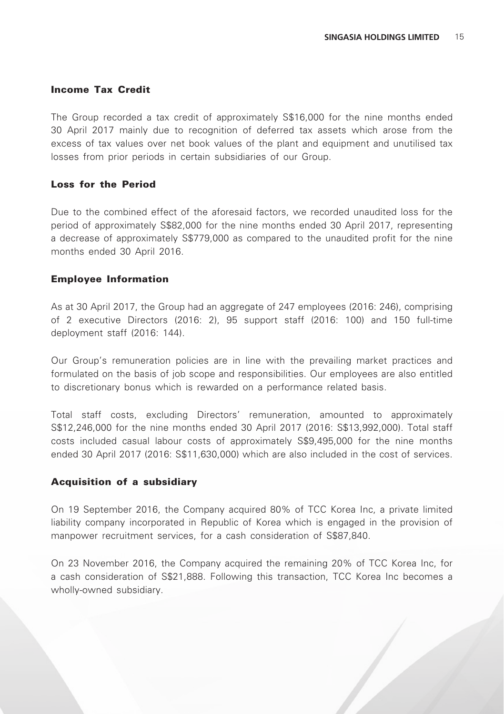#### Income Tax Credit

The Group recorded a tax credit of approximately S\$16,000 for the nine months ended 30 April 2017 mainly due to recognition of deferred tax assets which arose from the excess of tax values over net book values of the plant and equipment and unutilised tax losses from prior periods in certain subsidiaries of our Group.

#### Loss for the Period

Due to the combined effect of the aforesaid factors, we recorded unaudited loss for the period of approximately S\$82,000 for the nine months ended 30 April 2017, representing a decrease of approximately S\$779,000 as compared to the unaudited profit for the nine months ended 30 April 2016.

#### Employee Information

As at 30 April 2017, the Group had an aggregate of 247 employees (2016: 246), comprising of 2 executive Directors (2016: 2), 95 support staff (2016: 100) and 150 full-time deployment staff (2016: 144).

Our Group's remuneration policies are in line with the prevailing market practices and formulated on the basis of job scope and responsibilities. Our employees are also entitled to discretionary bonus which is rewarded on a performance related basis.

Total staff costs, excluding Directors' remuneration, amounted to approximately S\$12,246,000 for the nine months ended 30 April 2017 (2016: S\$13,992,000). Total staff costs included casual labour costs of approximately S\$9,495,000 for the nine months ended 30 April 2017 (2016: S\$11,630,000) which are also included in the cost of services.

#### Acquisition of a subsidiary

On 19 September 2016, the Company acquired 80% of TCC Korea Inc, a private limited liability company incorporated in Republic of Korea which is engaged in the provision of manpower recruitment services, for a cash consideration of S\$87,840.

On 23 November 2016, the Company acquired the remaining 20% of TCC Korea Inc, for a cash consideration of S\$21,888. Following this transaction, TCC Korea Inc becomes a wholly-owned subsidiary.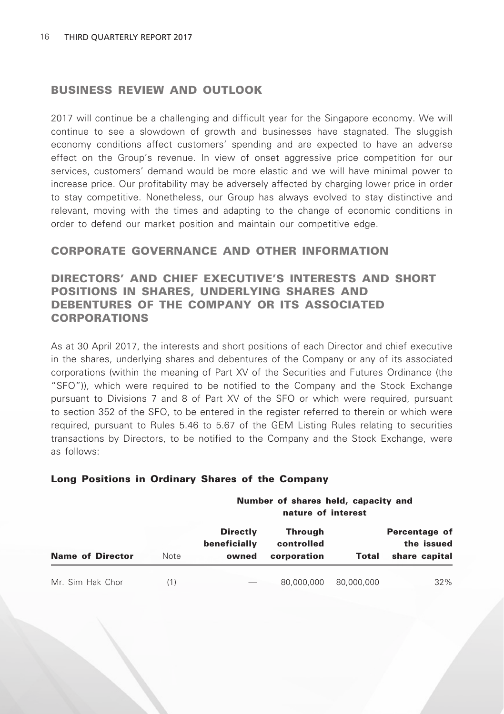#### BUSINESS REVIEW AND OUTLOOK

2017 will continue be a challenging and difficult year for the Singapore economy. We will continue to see a slowdown of growth and businesses have stagnated. The sluggish economy conditions affect customers' spending and are expected to have an adverse effect on the Group's revenue. In view of onset aggressive price competition for our services, customers' demand would be more elastic and we will have minimal power to increase price. Our profitability may be adversely affected by charging lower price in order to stay competitive. Nonetheless, our Group has always evolved to stay distinctive and relevant, moving with the times and adapting to the change of economic conditions in order to defend our market position and maintain our competitive edge.

### CORPORATE GOVERNANCE AND OTHER INFORMATION

### DIRECTORS' AND CHIEF EXECUTIVE'S INTERESTS AND SHORT POSITIONS IN SHARES, UNDERLYING SHARES AND DEBENTURES OF THE COMPANY OR ITS ASSOCIATED CORPORATIONS

As at 30 April 2017, the interests and short positions of each Director and chief executive in the shares, underlying shares and debentures of the Company or any of its associated corporations (within the meaning of Part XV of the Securities and Futures Ordinance (the "SFO")), which were required to be notified to the Company and the Stock Exchange pursuant to Divisions 7 and 8 of Part XV of the SFO or which were required, pursuant to section 352 of the SFO, to be entered in the register referred to therein or which were required, pursuant to Rules 5.46 to 5.67 of the GEM Listing Rules relating to securities transactions by Directors, to be notified to the Company and the Stock Exchange, were as follows:

|                         |      |                                          | Number of shares held, capacity and<br>nature of interest |            |                                              |  |  |  |
|-------------------------|------|------------------------------------------|-----------------------------------------------------------|------------|----------------------------------------------|--|--|--|
| <b>Name of Director</b> | Note | <b>Directly</b><br>beneficially<br>owned | <b>Through</b><br>controlled<br>corporation               | Total      | Percentage of<br>the issued<br>share capital |  |  |  |
| Mr. Sim Hak Chor        | (1)  |                                          | 80,000,000                                                | 80,000,000 | $32\%$                                       |  |  |  |

#### Long Positions in Ordinary Shares of the Company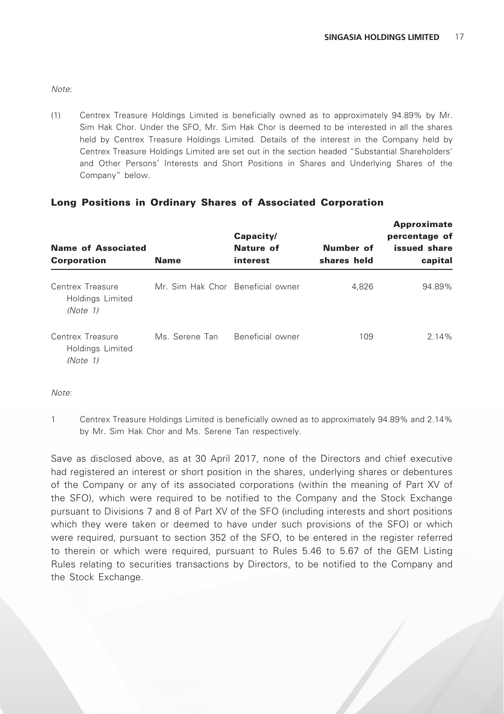*Note*:

(1) Centrex Treasure Holdings Limited is beneficially owned as to approximately 94.89% by Mr. Sim Hak Chor. Under the SFO, Mr. Sim Hak Chor is deemed to be interested in all the shares held by Centrex Treasure Holdings Limited. Details of the interest in the Company held by Centrex Treasure Holdings Limited are set out in the section headed "Substantial Shareholders' and Other Persons' Interests and Short Positions in Shares and Underlying Shares of the Company" below.

#### Long Positions in Ordinary Shares of Associated Corporation

| <b>Name of Associated</b><br><b>Corporation</b>  | Name                              | Capacity/<br>Nature of<br>interest | Number of<br>shares held | <b>Approximate</b><br>percentage of<br>issued share<br>capital |
|--------------------------------------------------|-----------------------------------|------------------------------------|--------------------------|----------------------------------------------------------------|
| Centrex Treasure<br>Holdings Limited<br>(Note 1) | Mr. Sim Hak Chor Beneficial owner |                                    | 4.826                    | 94.89%                                                         |
| Centrex Treasure<br>Holdings Limited<br>(Note 1) | Ms. Serene Tan                    | Beneficial owner                   | 109                      | 2.14%                                                          |

*Note*:

1 Centrex Treasure Holdings Limited is beneficially owned as to approximately 94.89% and 2.14% by Mr. Sim Hak Chor and Ms. Serene Tan respectively.

Save as disclosed above, as at 30 April 2017, none of the Directors and chief executive had registered an interest or short position in the shares, underlying shares or debentures of the Company or any of its associated corporations (within the meaning of Part XV of the SFO), which were required to be notified to the Company and the Stock Exchange pursuant to Divisions 7 and 8 of Part XV of the SFO (including interests and short positions which they were taken or deemed to have under such provisions of the SFO) or which were required, pursuant to section 352 of the SFO, to be entered in the register referred to therein or which were required, pursuant to Rules 5.46 to 5.67 of the GEM Listing Rules relating to securities transactions by Directors, to be notified to the Company and the Stock Exchange.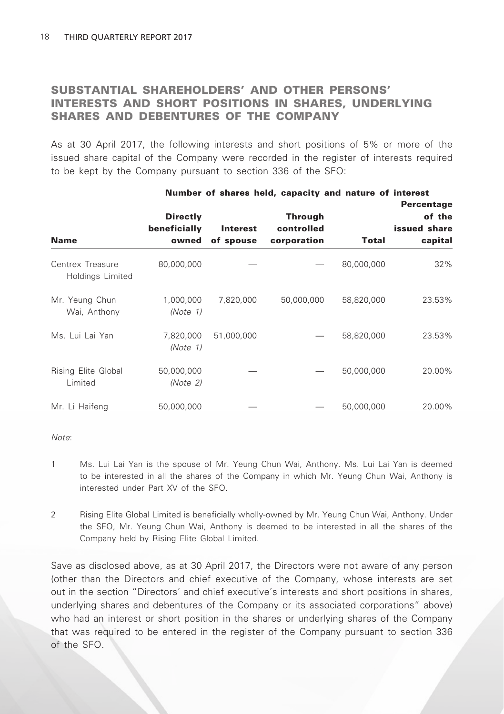## SUBSTANTIAL SHAREHOLDERS' AND OTHER PERSONS' INTERESTS AND SHORT POSITIONS IN SHARES, UNDERLYING SHARES AND DEBENTURES OF THE COMPANY

As at 30 April 2017, the following interests and short positions of 5% or more of the issued share capital of the Company were recorded in the register of interests required to be kept by the Company pursuant to section 336 of the SFO:

Number of shares held, capacity and nature of interest

|                                      |                                          |                              | <b>NUMBER OF SHARES HERE, CAPACITY AND HALLED OF HILCICSL</b> |            | Percentage                        |
|--------------------------------------|------------------------------------------|------------------------------|---------------------------------------------------------------|------------|-----------------------------------|
| <b>Name</b>                          | <b>Directly</b><br>beneficially<br>owned | <b>Interest</b><br>of spouse | <b>Through</b><br>controlled<br>corporation                   | Total      | of the<br>issued share<br>capital |
| Centrex Treasure<br>Holdings Limited | 80,000,000                               |                              |                                                               | 80,000,000 | 32%                               |
| Mr. Yeung Chun<br>Wai, Anthony       | 1,000,000<br>(Note 1)                    | 7,820,000                    | 50,000,000                                                    | 58,820,000 | 23.53%                            |
| Ms. Lui Lai Yan                      | 7,820,000<br>(Note 1)                    | 51,000,000                   |                                                               | 58,820,000 | 23.53%                            |
| Rising Elite Global<br>Limited       | 50,000,000<br>(Note 2)                   |                              |                                                               | 50,000,000 | 20.00%                            |
| Mr. Li Haifeng                       | 50,000,000                               |                              |                                                               | 50,000,000 | 20.00%                            |

#### *Note*:

- 1 Ms. Lui Lai Yan is the spouse of Mr. Yeung Chun Wai, Anthony. Ms. Lui Lai Yan is deemed to be interested in all the shares of the Company in which Mr. Yeung Chun Wai, Anthony is interested under Part XV of the SFO.
- 2 Rising Elite Global Limited is beneficially wholly-owned by Mr. Yeung Chun Wai, Anthony. Under the SFO, Mr. Yeung Chun Wai, Anthony is deemed to be interested in all the shares of the Company held by Rising Elite Global Limited.

Save as disclosed above, as at 30 April 2017, the Directors were not aware of any person (other than the Directors and chief executive of the Company, whose interests are set out in the section "Directors' and chief executive's interests and short positions in shares, underlying shares and debentures of the Company or its associated corporations" above) who had an interest or short position in the shares or underlying shares of the Company that was required to be entered in the register of the Company pursuant to section 336 of the SFO.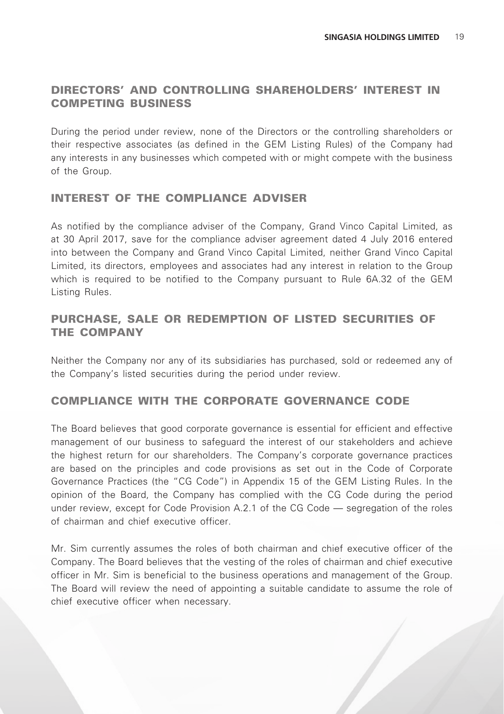## DIRECTORS' AND CONTROLLING SHAREHOLDERS' INTEREST IN COMPETING BUSINESS

During the period under review, none of the Directors or the controlling shareholders or their respective associates (as defined in the GEM Listing Rules) of the Company had any interests in any businesses which competed with or might compete with the business of the Group.

### INTEREST OF THE COMPLIANCE ADVISER

As notified by the compliance adviser of the Company, Grand Vinco Capital Limited, as at 30 April 2017, save for the compliance adviser agreement dated 4 July 2016 entered into between the Company and Grand Vinco Capital Limited, neither Grand Vinco Capital Limited, its directors, employees and associates had any interest in relation to the Group which is required to be notified to the Company pursuant to Rule 6A.32 of the GEM Listing Rules.

## PURCHASE, SALE OR REDEMPTION OF LISTED SECURITIES OF THE COMPANY

Neither the Company nor any of its subsidiaries has purchased, sold or redeemed any of the Company's listed securities during the period under review.

### COMPLIANCE WITH THE CORPORATE GOVERNANCE CODE

The Board believes that good corporate governance is essential for efficient and effective management of our business to safeguard the interest of our stakeholders and achieve the highest return for our shareholders. The Company's corporate governance practices are based on the principles and code provisions as set out in the Code of Corporate Governance Practices (the "CG Code") in Appendix 15 of the GEM Listing Rules. In the opinion of the Board, the Company has complied with the CG Code during the period under review, except for Code Provision A.2.1 of the CG Code — segregation of the roles of chairman and chief executive officer.

Mr. Sim currently assumes the roles of both chairman and chief executive officer of the Company. The Board believes that the vesting of the roles of chairman and chief executive officer in Mr. Sim is beneficial to the business operations and management of the Group. The Board will review the need of appointing a suitable candidate to assume the role of chief executive officer when necessary.